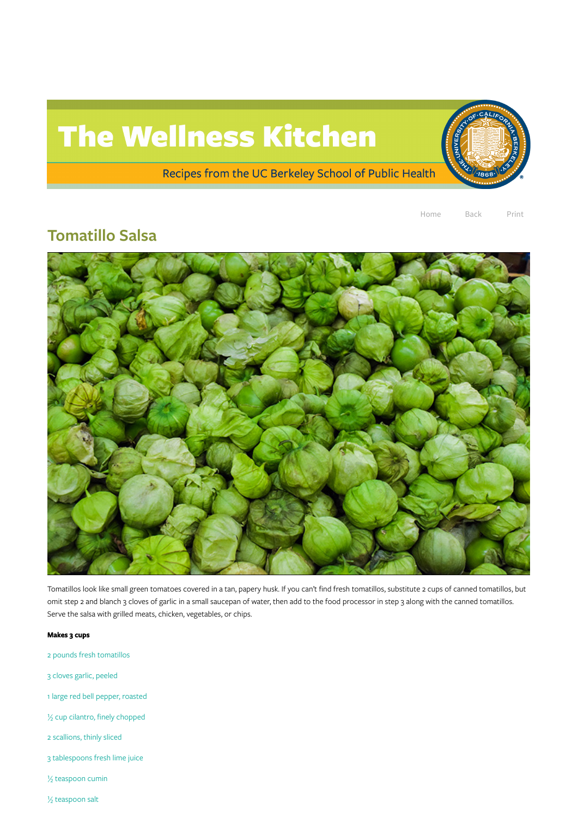## The Wellness Kitchen

Recipes from the UC Berkeley School of Public Health

Home Back Print

## Tomatillo Salsa



Tomatillos look like small green tomatoes covered in a tan, papery husk. If you can't find fresh tomatillos, substitute 2 cups of canned tomatillos, but omit step 2 and blanch 3 cloves of garlic in a small saucepan of water, then add to the food processor in step 3 along with the canned tomatillos. Serve the salsa with grilled meats, chicken, vegetables, or chips.

## Makes 3 cups

2 pounds fresh tomatillos

3 cloves garlic, peeled

1 large red bell pepper, roasted

½ cup cilantro, finely chopped

2 scallions, thinly sliced

3 tablespoons fresh lime juice

½ teaspoon cumin

½ teaspoon salt